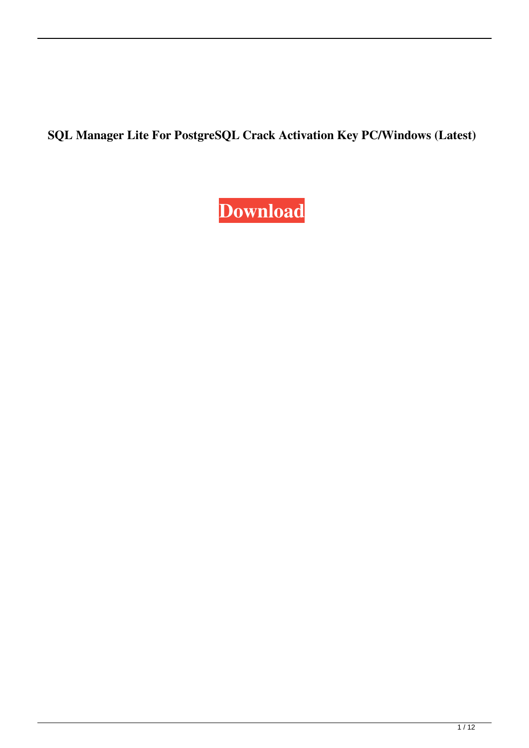**SQL Manager Lite For PostgreSQL Crack Activation Key PC/Windows (Latest)**

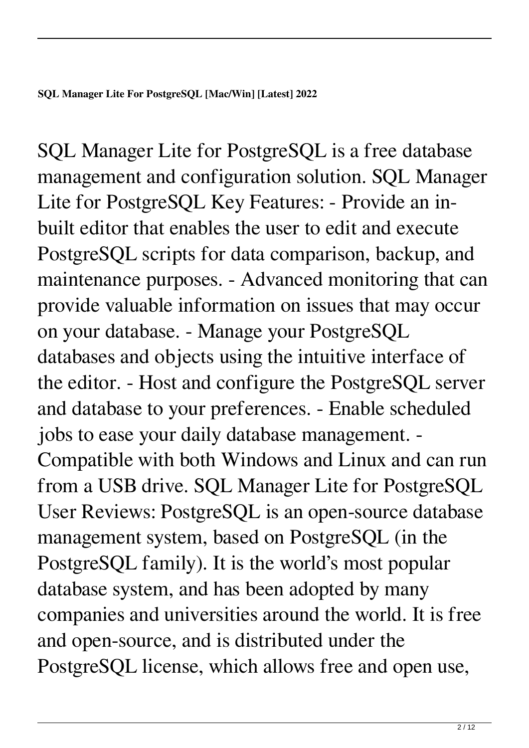SQL Manager Lite for PostgreSQL is a free database management and configuration solution. SQL Manager Lite for PostgreSQL Key Features: - Provide an inbuilt editor that enables the user to edit and execute PostgreSQL scripts for data comparison, backup, and maintenance purposes. - Advanced monitoring that can provide valuable information on issues that may occur on your database. - Manage your PostgreSQL databases and objects using the intuitive interface of the editor. - Host and configure the PostgreSQL server and database to your preferences. - Enable scheduled jobs to ease your daily database management. - Compatible with both Windows and Linux and can run from a USB drive. SQL Manager Lite for PostgreSQL User Reviews: PostgreSQL is an open-source database management system, based on PostgreSQL (in the PostgreSQL family). It is the world's most popular database system, and has been adopted by many companies and universities around the world. It is free and open-source, and is distributed under the PostgreSQL license, which allows free and open use,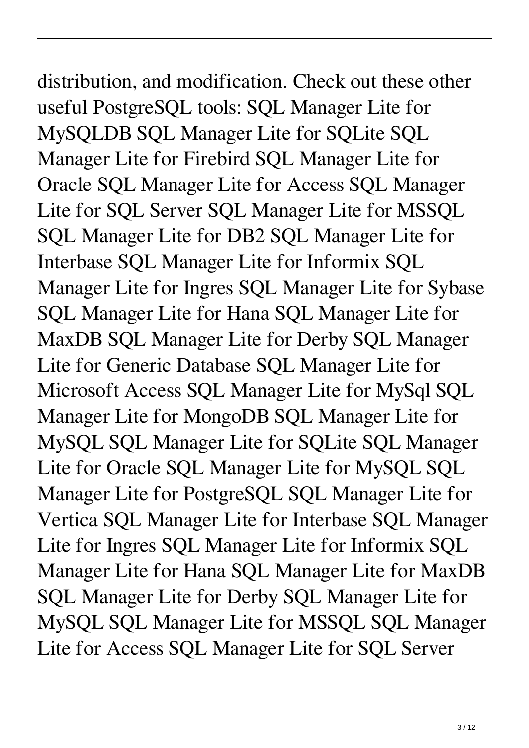# distribution, and modification. Check out these other

useful PostgreSQL tools: SQL Manager Lite for MySQLDB SQL Manager Lite for SQLite SQL Manager Lite for Firebird SQL Manager Lite for Oracle SQL Manager Lite for Access SQL Manager Lite for SQL Server SQL Manager Lite for MSSQL SQL Manager Lite for DB2 SQL Manager Lite for Interbase SQL Manager Lite for Informix SQL Manager Lite for Ingres SQL Manager Lite for Sybase SQL Manager Lite for Hana SQL Manager Lite for MaxDB SQL Manager Lite for Derby SQL Manager Lite for Generic Database SQL Manager Lite for Microsoft Access SQL Manager Lite for MySql SQL Manager Lite for MongoDB SQL Manager Lite for MySQL SQL Manager Lite for SQLite SQL Manager Lite for Oracle SQL Manager Lite for MySQL SQL Manager Lite for PostgreSQL SQL Manager Lite for Vertica SQL Manager Lite for Interbase SQL Manager Lite for Ingres SQL Manager Lite for Informix SQL Manager Lite for Hana SQL Manager Lite for MaxDB SQL Manager Lite for Derby SQL Manager Lite for MySQL SQL Manager Lite for MSSQL SQL Manager Lite for Access SQL Manager Lite for SQL Server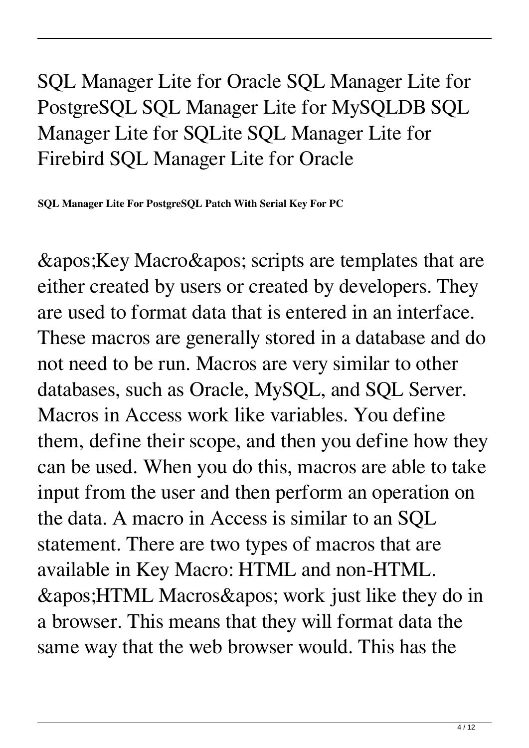### SQL Manager Lite for Oracle SQL Manager Lite for PostgreSQL SQL Manager Lite for MySQLDB SQL Manager Lite for SQLite SQL Manager Lite for Firebird SQL Manager Lite for Oracle

**SQL Manager Lite For PostgreSQL Patch With Serial Key For PC**

& apos; Key Macro & apos; scripts are templates that are either created by users or created by developers. They are used to format data that is entered in an interface. These macros are generally stored in a database and do not need to be run. Macros are very similar to other databases, such as Oracle, MySQL, and SQL Server. Macros in Access work like variables. You define them, define their scope, and then you define how they can be used. When you do this, macros are able to take input from the user and then perform an operation on the data. A macro in Access is similar to an SQL statement. There are two types of macros that are available in Key Macro: HTML and non-HTML.  $\&$ apos; HTML Macros $\&$ apos; work just like they do in a browser. This means that they will format data the same way that the web browser would. This has the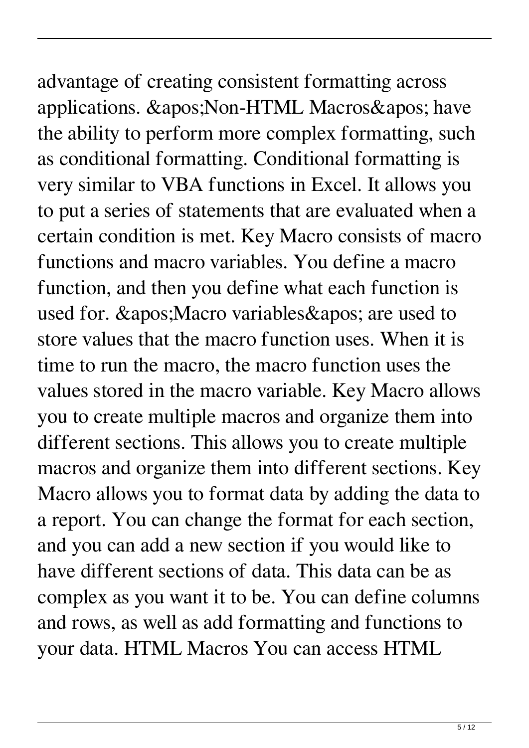## advantage of creating consistent formatting across applications. ' Non-HTML Macros' have the ability to perform more complex formatting, such as conditional formatting. Conditional formatting is very similar to VBA functions in Excel. It allows you to put a series of statements that are evaluated when a certain condition is met. Key Macro consists of macro functions and macro variables. You define a macro function, and then you define what each function is used for. & apos; Macro variables & apos; are used to store values that the macro function uses. When it is time to run the macro, the macro function uses the values stored in the macro variable. Key Macro allows you to create multiple macros and organize them into different sections. This allows you to create multiple

macros and organize them into different sections. Key

Macro allows you to format data by adding the data to

a report. You can change the format for each section,

complex as you want it to be. You can define columns

and rows, as well as add formatting and functions to

your data. HTML Macros You can access HTML

and you can add a new section if you would like to

have different sections of data. This data can be as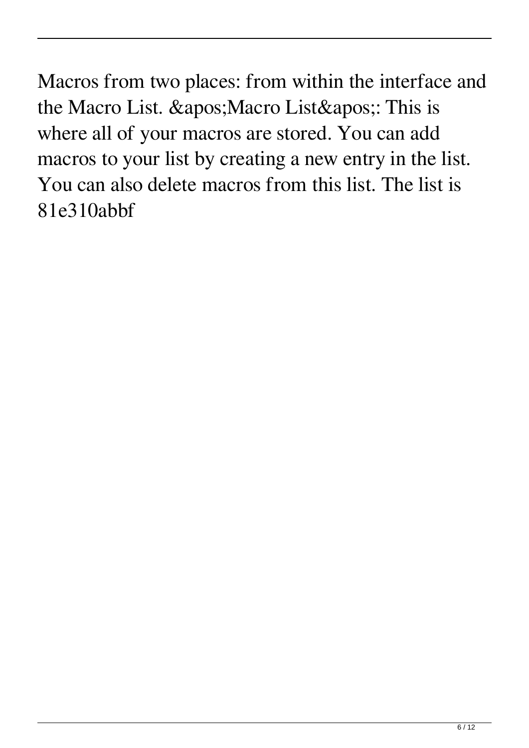Macros from two places: from within the interface and the Macro List. ' Macro List': This is where all of your macros are stored. You can add macros to your list by creating a new entry in the list. You can also delete macros from this list. The list is 81e310abbf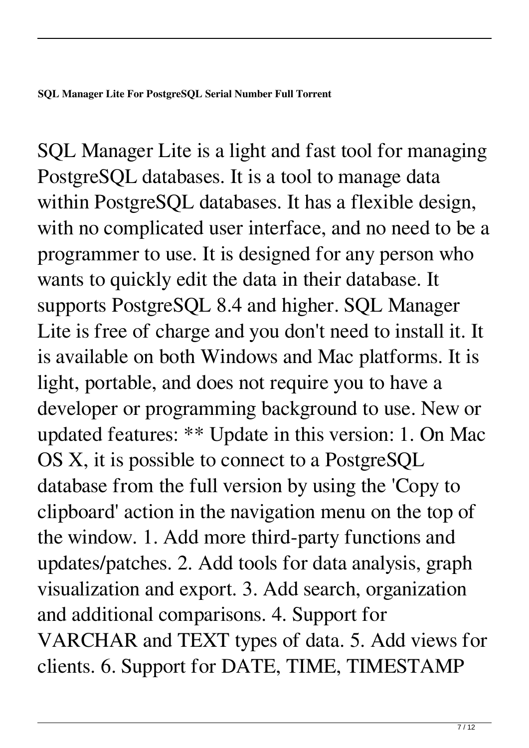SQL Manager Lite is a light and fast tool for managing PostgreSQL databases. It is a tool to manage data within PostgreSQL databases. It has a flexible design, with no complicated user interface, and no need to be a programmer to use. It is designed for any person who wants to quickly edit the data in their database. It supports PostgreSQL 8.4 and higher. SQL Manager Lite is free of charge and you don't need to install it. It is available on both Windows and Mac platforms. It is light, portable, and does not require you to have a developer or programming background to use. New or updated features: \*\* Update in this version: 1. On Mac OS X, it is possible to connect to a PostgreSQL database from the full version by using the 'Copy to clipboard' action in the navigation menu on the top of the window. 1. Add more third-party functions and updates/patches. 2. Add tools for data analysis, graph visualization and export. 3. Add search, organization and additional comparisons. 4. Support for VARCHAR and TEXT types of data. 5. Add views for clients. 6. Support for DATE, TIME, TIMESTAMP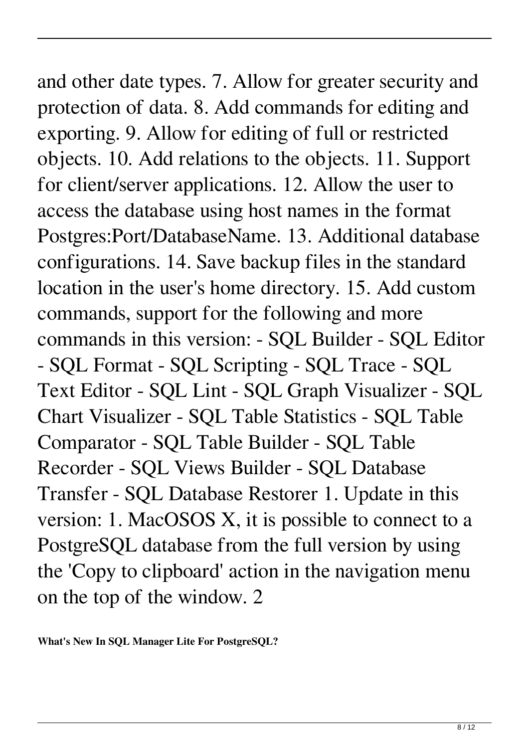and other date types. 7. Allow for greater security and protection of data. 8. Add commands for editing and exporting. 9. Allow for editing of full or restricted objects. 10. Add relations to the objects. 11. Support for client/server applications. 12. Allow the user to access the database using host names in the format Postgres:Port/DatabaseName. 13. Additional database configurations. 14. Save backup files in the standard location in the user's home directory. 15. Add custom commands, support for the following and more commands in this version: - SQL Builder - SQL Editor - SQL Format - SQL Scripting - SQL Trace - SQL Text Editor - SQL Lint - SQL Graph Visualizer - SQL Chart Visualizer - SQL Table Statistics - SQL Table Comparator - SQL Table Builder - SQL Table Recorder - SQL Views Builder - SQL Database Transfer - SQL Database Restorer 1. Update in this version: 1. MacOSOS X, it is possible to connect to a PostgreSQL database from the full version by using the 'Copy to clipboard' action in the navigation menu

on the top of the window. 2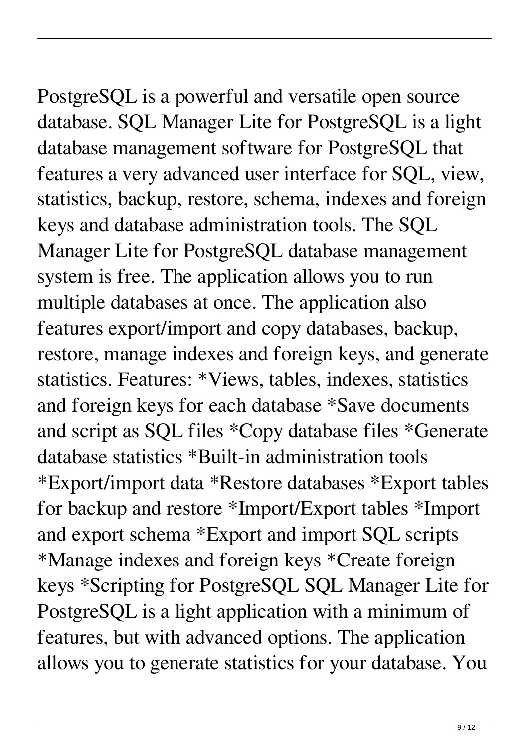PostgreSQL is a powerful and versatile open source database. SQL Manager Lite for PostgreSQL is a light database management software for PostgreSQL that features a very advanced user interface for SQL, view, statistics, backup, restore, schema, indexes and foreign keys and database administration tools. The SQL Manager Lite for PostgreSQL database management system is free. The application allows you to run multiple databases at once. The application also features export/import and copy databases, backup, restore, manage indexes and foreign keys, and generate statistics. Features: \*Views, tables, indexes, statistics and foreign keys for each database \*Save documents and script as SQL files \*Copy database files \*Generate database statistics \*Built-in administration tools \*Export/import data \*Restore databases \*Export tables for backup and restore \*Import/Export tables \*Import and export schema \*Export and import SQL scripts \*Manage indexes and foreign keys \*Create foreign keys \*Scripting for PostgreSQL SQL Manager Lite for PostgreSQL is a light application with a minimum of features, but with advanced options. The application allows you to generate statistics for your database. You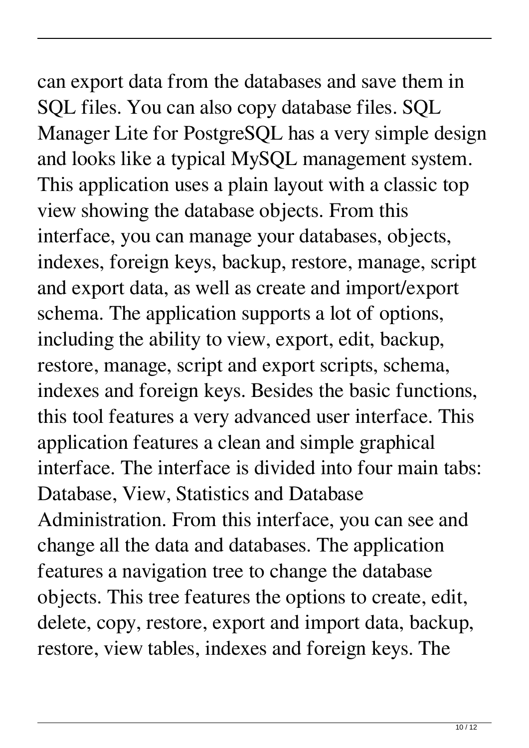can export data from the databases and save them in SQL files. You can also copy database files. SQL Manager Lite for PostgreSQL has a very simple design and looks like a typical MySQL management system. This application uses a plain layout with a classic top view showing the database objects. From this interface, you can manage your databases, objects, indexes, foreign keys, backup, restore, manage, script and export data, as well as create and import/export schema. The application supports a lot of options, including the ability to view, export, edit, backup, restore, manage, script and export scripts, schema, indexes and foreign keys. Besides the basic functions, this tool features a very advanced user interface. This application features a clean and simple graphical interface. The interface is divided into four main tabs: Database, View, Statistics and Database Administration. From this interface, you can see and change all the data and databases. The application features a navigation tree to change the database objects. This tree features the options to create, edit, delete, copy, restore, export and import data, backup, restore, view tables, indexes and foreign keys. The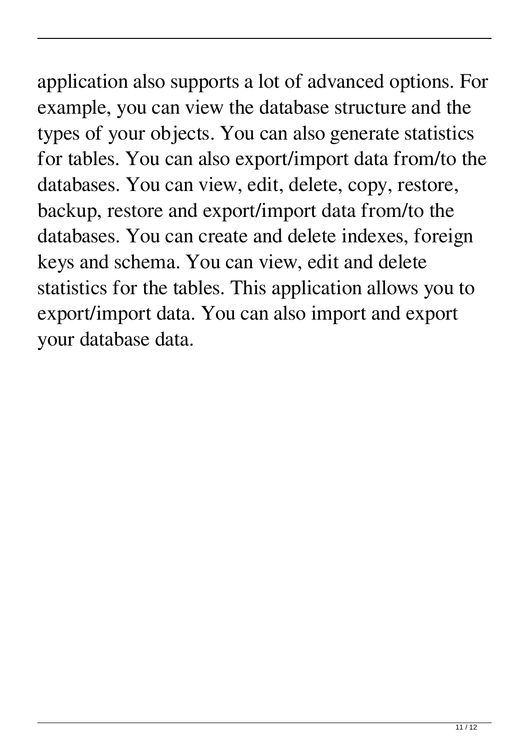### application also supports a lot of advanced options. For example, you can view the database structure and the types of your objects. You can also generate statistics for tables. You can also export/import data from/to the databases. You can view, edit, delete, copy, restore, backup, restore and export/import data from/to the databases. You can create and delete indexes, foreign keys and schema. You can view, edit and delete statistics for the tables. This application allows you to export/import data. You can also import and export your database data.